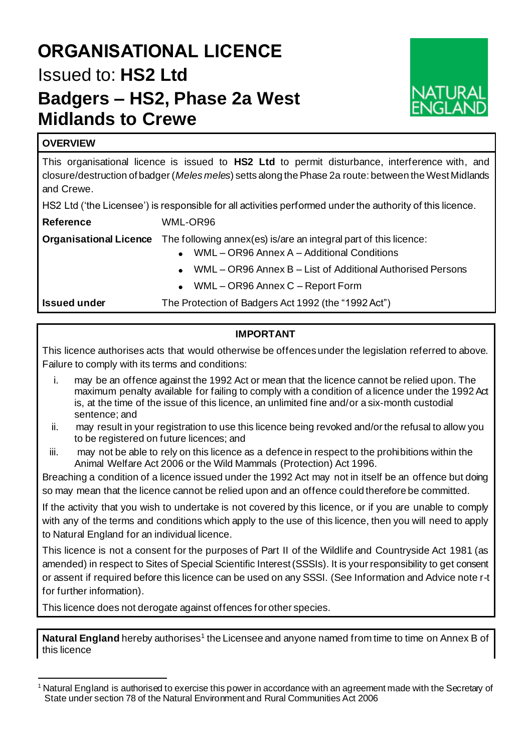# **ORGANISATIONAL LICENCE** Issued to: **HS2 Ltd Badgers – HS2, Phase 2a West Midlands to Crewe**



# **OVERVIEW**

This organisational licence is issued to **HS2 Ltd** to permit disturbance, interference with, and closure/destruction of badger (*Meles meles*) setts along the Phase 2a route: between the West Midlands and Crewe.

HS2 Ltd ('the Licensee') is responsible for all activities performed under the authority of this licence.

**Reference** WML-OR96

| <b>Organisational Licence</b> The following annex(es) is/are an integral part of this licence: |
|------------------------------------------------------------------------------------------------|
|                                                                                                |

- WML OR96 Annex A Additional Conditions
- WML OR96 Annex B List of Additional Authorised Persons
- WML OR96 Annex C Report Form

**Issued under** The Protection of Badgers Act 1992 (the "1992 Act")

# **IMPORTANT**

This licence authorises acts that would otherwise be offences under the legislation referred to above. Failure to comply with its terms and conditions:

- i. may be an offence against the 1992 Act or mean that the licence cannot be relied upon. The maximum penalty available for failing to comply with a condition of a licence under the 1992 Act is, at the time of the issue of this licence, an unlimited fine and/or a six-month custodial sentence; and
- ii. may result in your registration to use this licence being revoked and/or the refusal to allow you to be registered on future licences; and
- iii. may not be able to rely on this licence as a defence in respect to the prohibitions within the Animal Welfare Act 2006 or the Wild Mammals (Protection) Act 1996.

Breaching a condition of a licence issued under the 1992 Act may not in itself be an offence but doing so may mean that the licence cannot be relied upon and an offence could therefore be committed.

If the activity that you wish to undertake is not covered by this licence, or if you are unable to comply with any of the terms and conditions which apply to the use of this licence, then you will need to apply to Natural England for an individual licence.

This licence is not a consent for the purposes of Part II of the Wildlife and Countryside Act 1981 (as amended) in respect to Sites of Special Scientific Interest (SSSIs). It is your responsibility to get consent or assent if required before this licence can be used on any SSSI. (See Information and Advice note r-t for further information).

This licence does not derogate against offences for other species.

Natural England hereby authorises<sup>1</sup> the Licensee and anyone named from time to time on Annex B of this licence

<sup>1</sup> Natural England is authorised to exercise this power in accordance with an agreement made with the Secretary of State under section 78 of the Natural Environment and Rural Communities Act 2006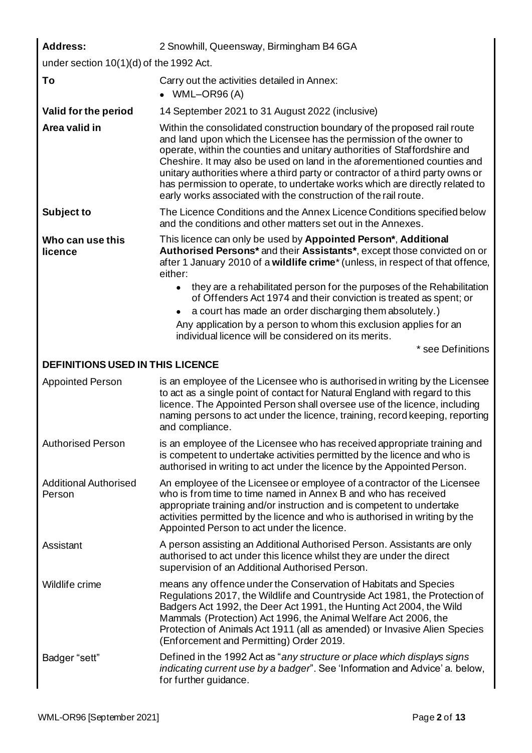| <b>Address:</b>                           | 2 Snowhill, Queensway, Birmingham B4 6GA                                                                                                                                                                                                                                                                                                                                                                                                                                                                                                     |  |  |  |
|-------------------------------------------|----------------------------------------------------------------------------------------------------------------------------------------------------------------------------------------------------------------------------------------------------------------------------------------------------------------------------------------------------------------------------------------------------------------------------------------------------------------------------------------------------------------------------------------------|--|--|--|
| under section $10(1)(d)$ of the 1992 Act. |                                                                                                                                                                                                                                                                                                                                                                                                                                                                                                                                              |  |  |  |
| To                                        | Carry out the activities detailed in Annex:<br>$\bullet$ WML-OR96(A)                                                                                                                                                                                                                                                                                                                                                                                                                                                                         |  |  |  |
| Valid for the period                      | 14 September 2021 to 31 August 2022 (inclusive)                                                                                                                                                                                                                                                                                                                                                                                                                                                                                              |  |  |  |
| Area valid in                             | Within the consolidated construction boundary of the proposed rail route<br>and land upon which the Licensee has the permission of the owner to<br>operate, within the counties and unitary authorities of Staffordshire and<br>Cheshire. It may also be used on land in the aforementioned counties and<br>unitary authorities where a third party or contractor of a third party owns or<br>has permission to operate, to undertake works which are directly related to<br>early works associated with the construction of the rail route. |  |  |  |
| Subject to                                | The Licence Conditions and the Annex Licence Conditions specified below<br>and the conditions and other matters set out in the Annexes.                                                                                                                                                                                                                                                                                                                                                                                                      |  |  |  |
| Who can use this<br>licence               | This licence can only be used by Appointed Person*, Additional<br>Authorised Persons* and their Assistants*, except those convicted on or<br>after 1 January 2010 of a wildlife crime <sup>*</sup> (unless, in respect of that offence,<br>either:                                                                                                                                                                                                                                                                                           |  |  |  |
|                                           | they are a rehabilitated person for the purposes of the Rehabilitation<br>of Offenders Act 1974 and their conviction is treated as spent; or                                                                                                                                                                                                                                                                                                                                                                                                 |  |  |  |
|                                           | a court has made an order discharging them absolutely.)                                                                                                                                                                                                                                                                                                                                                                                                                                                                                      |  |  |  |
|                                           | Any application by a person to whom this exclusion applies for an<br>individual licence will be considered on its merits.                                                                                                                                                                                                                                                                                                                                                                                                                    |  |  |  |
|                                           | * see Definitions                                                                                                                                                                                                                                                                                                                                                                                                                                                                                                                            |  |  |  |
| <b>DEFINITIONS USED IN THIS LICENCE</b>   |                                                                                                                                                                                                                                                                                                                                                                                                                                                                                                                                              |  |  |  |
| <b>Appointed Person</b>                   | is an employee of the Licensee who is authorised in writing by the Licensee<br>to act as a single point of contact for Natural England with regard to this<br>licence. The Appointed Person shall oversee use of the licence, including<br>naming persons to act under the licence, training, record keeping, reporting<br>and compliance.                                                                                                                                                                                                   |  |  |  |
| <b>Authorised Person</b>                  | is an employee of the Licensee who has received appropriate training and<br>is competent to undertake activities permitted by the licence and who is<br>authorised in writing to act under the licence by the Appointed Person.                                                                                                                                                                                                                                                                                                              |  |  |  |
| <b>Additional Authorised</b><br>Person    | An employee of the Licensee or employee of a contractor of the Licensee<br>who is from time to time named in Annex B and who has received<br>appropriate training and/or instruction and is competent to undertake<br>activities permitted by the licence and who is authorised in writing by the<br>Appointed Person to act under the licence.                                                                                                                                                                                              |  |  |  |
| Assistant                                 | A person assisting an Additional Authorised Person. Assistants are only<br>authorised to act under this licence whilst they are under the direct<br>supervision of an Additional Authorised Person.                                                                                                                                                                                                                                                                                                                                          |  |  |  |
| Wildlife crime                            | means any offence under the Conservation of Habitats and Species<br>Regulations 2017, the Wildlife and Countryside Act 1981, the Protection of<br>Badgers Act 1992, the Deer Act 1991, the Hunting Act 2004, the Wild<br>Mammals (Protection) Act 1996, the Animal Welfare Act 2006, the<br>Protection of Animals Act 1911 (all as amended) or Invasive Alien Species<br>(Enforcement and Permitting) Order 2019.                                                                                                                            |  |  |  |
| Badger "sett"                             | Defined in the 1992 Act as "any structure or place which displays signs<br>indicating current use by a badger". See 'Information and Advice' a. below,<br>for further guidance.                                                                                                                                                                                                                                                                                                                                                              |  |  |  |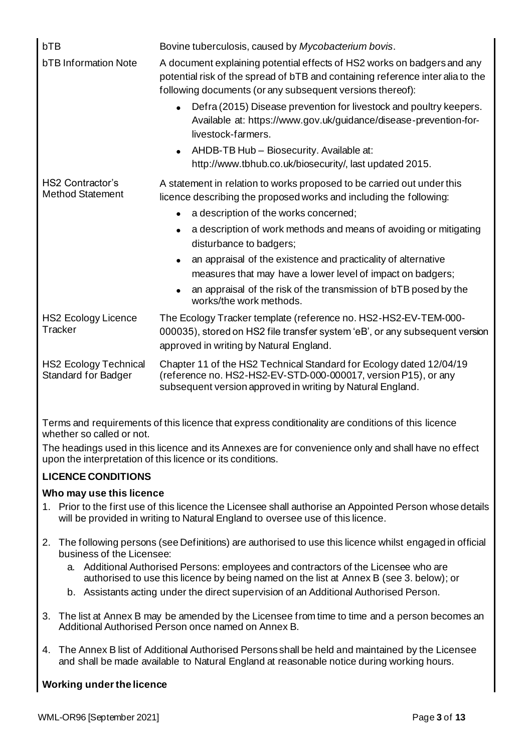| bTB<br><b>bTB</b> Information Note                         | Bovine tuberculosis, caused by Mycobacterium bovis.<br>A document explaining potential effects of HS2 works on badgers and any<br>potential risk of the spread of bTB and containing reference inter alia to the<br>following documents (or any subsequent versions thereof):<br>Defra (2015) Disease prevention for livestock and poultry keepers.<br>Available at: https://www.gov.uk/guidance/disease-prevention-for- |
|------------------------------------------------------------|--------------------------------------------------------------------------------------------------------------------------------------------------------------------------------------------------------------------------------------------------------------------------------------------------------------------------------------------------------------------------------------------------------------------------|
|                                                            | livestock-farmers.<br>AHDB-TB Hub - Biosecurity. Available at:<br>http://www.tbhub.co.uk/biosecurity/, last updated 2015.                                                                                                                                                                                                                                                                                                |
| <b>HS2 Contractor's</b><br><b>Method Statement</b>         | A statement in relation to works proposed to be carried out under this<br>licence describing the proposed works and including the following:<br>a description of the works concerned;<br>a description of work methods and means of avoiding or mitigating<br>disturbance to badgers;<br>an appraisal of the existence and practicality of alternative<br>measures that may have a lower level of impact on badgers;     |
|                                                            | an appraisal of the risk of the transmission of bTB posed by the<br>works/the work methods.                                                                                                                                                                                                                                                                                                                              |
| <b>HS2 Ecology Licence</b><br>Tracker                      | The Ecology Tracker template (reference no. HS2-HS2-EV-TEM-000-<br>000035), stored on HS2 file transfer system 'eB', or any subsequent version<br>approved in writing by Natural England.                                                                                                                                                                                                                                |
| <b>HS2 Ecology Technical</b><br><b>Standard for Badger</b> | Chapter 11 of the HS2 Technical Standard for Ecology dated 12/04/19<br>(reference no. HS2-HS2-EV-STD-000-000017, version P15), or any<br>subsequent version approved in writing by Natural England.                                                                                                                                                                                                                      |

Terms and requirements of this licence that express conditionality are conditions of this licence whether so called or not.

The headings used in this licence and its Annexes are for convenience only and shall have no effect upon the interpretation of this licence or its conditions.

# **LICENCE CONDITIONS**

# **Who may use this licence**

- 1. Prior to the first use of this licence the Licensee shall authorise an Appointed Person whose details will be provided in writing to Natural England to oversee use of this licence.
- 2. The following persons (see Definitions) are authorised to use this licence whilst engaged in official business of the Licensee:
	- a. Additional Authorised Persons: employees and contractors of the Licensee who are authorised to use this licence by being named on the list at Annex B (see 3. below); or
	- b. Assistants acting under the direct supervision of an Additional Authorised Person.
- 3. The list at Annex B may be amended by the Licensee from time to time and a person becomes an Additional Authorised Person once named on Annex B.
- 4. The Annex B list of Additional Authorised Persons shall be held and maintained by the Licensee and shall be made available to Natural England at reasonable notice during working hours.

# **Working under the licence**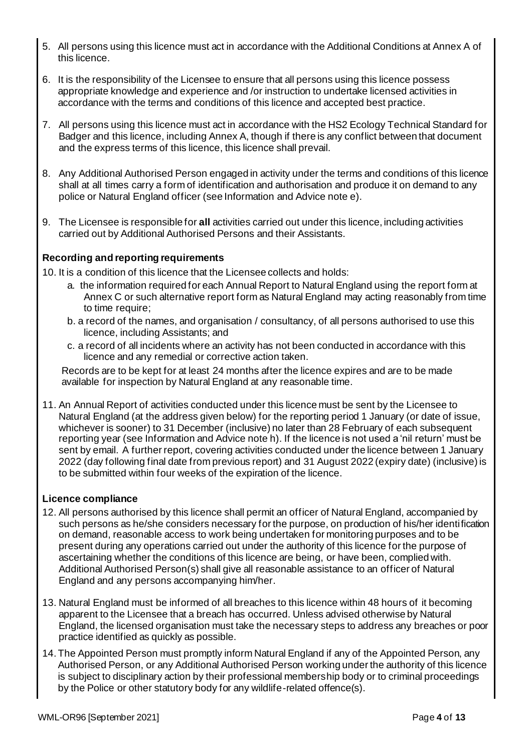- 5. All persons using this licence must act in accordance with the Additional Conditions at Annex A of this licence.
- 6. It is the responsibility of the Licensee to ensure that all persons using this licence possess appropriate knowledge and experience and /or instruction to undertake licensed activities in accordance with the terms and conditions of this licence and accepted best practice.
- 7. All persons using this licence must act in accordance with the HS2 Ecology Technical Standard for Badger and this licence, including Annex A, though if there is any conflict between that document and the express terms of this licence, this licence shall prevail.
- 8. Any Additional Authorised Person engaged in activity under the terms and conditions of this licence shall at all times carry a form of identification and authorisation and produce it on demand to any police or Natural England officer (see Information and Advice note e).
- 9. The Licensee is responsible for **all** activities carried out under this licence, including activities carried out by Additional Authorised Persons and their Assistants.

# **Recording and reporting requirements**

- 10. It is a condition of this licence that the Licensee collects and holds:
	- a. the information required for each Annual Report to Natural England using the report form at Annex C or such alternative report form as Natural England may acting reasonably from time to time require;
	- b. a record of the names, and organisation / consultancy, of all persons authorised to use this licence, including Assistants; and
	- c. a record of all incidents where an activity has not been conducted in accordance with this licence and any remedial or corrective action taken.

Records are to be kept for at least 24 months after the licence expires and are to be made available for inspection by Natural England at any reasonable time.

11. An Annual Report of activities conducted under this licence must be sent by the Licensee to Natural England (at the address given below) for the reporting period 1 January (or date of issue, whichever is sooner) to 31 December (inclusive) no later than 28 February of each subsequent reporting year (see Information and Advice note h). If the licence is not used a 'nil return' must be sent by email. A further report, covering activities conducted under the licence between 1 January 2022 (day following final date from previous report) and 31 August 2022 (expiry date) (inclusive) is to be submitted within four weeks of the expiration of the licence.

## **Licence compliance**

- 12. All persons authorised by this licence shall permit an officer of Natural England, accompanied by such persons as he/she considers necessary for the purpose, on production of his/her identification on demand, reasonable access to work being undertaken for monitoring purposes and to be present during any operations carried out under the authority of this licence for the purpose of ascertaining whether the conditions of this licence are being, or have been, complied with. Additional Authorised Person(s) shall give all reasonable assistance to an officer of Natural England and any persons accompanying him/her.
- 13. Natural England must be informed of all breaches to this licence within 48 hours of it becoming apparent to the Licensee that a breach has occurred. Unless advised otherwise by Natural England, the licensed organisation must take the necessary steps to address any breaches or poor practice identified as quickly as possible.
- 14.The Appointed Person must promptly inform Natural England if any of the Appointed Person, any Authorised Person, or any Additional Authorised Person working under the authority of this licence is subject to disciplinary action by their professional membership body or to criminal proceedings by the Police or other statutory body for any wildlife-related offence(s).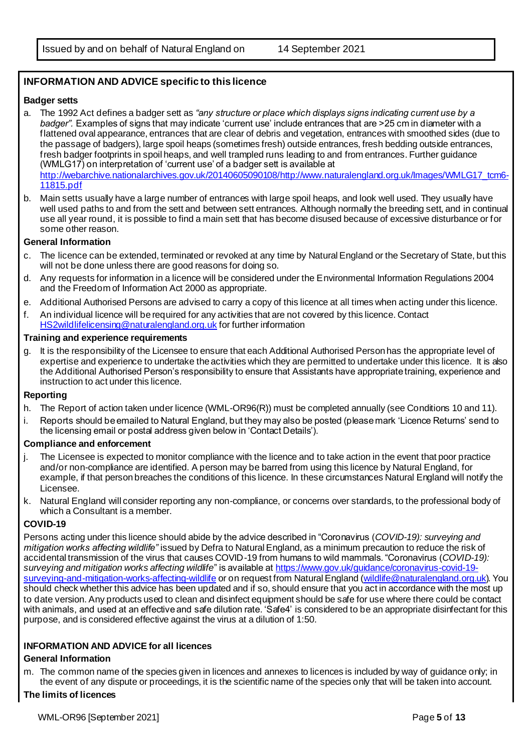# **INFORMATION AND ADVICE specific to this licence**

#### **Badger setts**

- a. The 1992 Act defines a badger sett as *"any structure or place which displays signs indicating current use by a badger".* Examples of signs that may indicate 'current use' include entrances that are >25 cm in diameter with a flattened oval appearance, entrances that are clear of debris and vegetation, entrances with smoothed sides (due to the passage of badgers), large spoil heaps (sometimes fresh) outside entrances, fresh bedding outside entrances, fresh badger footprints in spoil heaps, and well trampled runs leading to and from entrances. Further guidance (WMLG17) on interpretation of 'current use' of a badger sett is available at [http://webarchive.nationalarchives.gov.uk/20140605090108/http://www.naturalengland.org.uk/Images/WMLG17\\_tcm6-](http://webarchive.nationalarchives.gov.uk/20140605090108/http:/www.naturalengland.org.uk/Images/WMLG17_tcm6-11815.pdf) [11815.pdf](http://webarchive.nationalarchives.gov.uk/20140605090108/http:/www.naturalengland.org.uk/Images/WMLG17_tcm6-11815.pdf)
- b. Main setts usually have a large number of entrances with large spoil heaps, and look well used. They usually have well used paths to and from the sett and between sett entrances. Although normally the breeding sett, and in continual use all year round, it is possible to find a main sett that has become disused because of excessive disturbance or for some other reason.

#### **General Information**

- c. The licence can be extended, terminated or revoked at any time by Natural England or the Secretary of State, but this will not be done unless there are good reasons for doing so.
- d. Any requests for information in a licence will be considered under the Environmental Information Regulations 2004 and the Freedom of Information Act 2000 as appropriate.
- e. Additional Authorised Persons are advised to carry a copy of this licence at all times when acting under this licence.
- f. An individual licence will be required for any activities that are not covered by this licence. Contact [HS2wildlifelicensing@naturalengland.org.uk](mailto:HS2wildlifelicensing@naturalengland.org.uk) for further information

#### **Training and experience requirements**

g. It is the responsibility of the Licensee to ensure that each Additional Authorised Person has the appropriate level of expertise and experience to undertake the activities which they are permitted to undertake under this licence. It is also the Additional Authorised Person's responsibility to ensure that Assistants have appropriate training, experience and instruction to act under this licence.

### **Reporting**

- h. The Report of action taken under licence (WML-OR96(R)) must be completed annually (see Conditions 10 and 11).
- i. Reports should be emailed to Natural England, but they may also be posted (please mark 'Licence Returns' send to the licensing email or postal address given below in 'Contact Details').

#### **Compliance and enforcement**

- j. The Licensee is expected to monitor compliance with the licence and to take action in the event that poor practice and/or non-compliance are identified. A person may be barred from using this licence by Natural England, for example, if that person breaches the conditions of this licence. In these circumstances Natural England will notify the Licensee.
- k. Natural England will consider reporting any non-compliance, or concerns over standards, to the professional body of which a Consultant is a member.

### **COVID-19**

Persons acting under this licence should abide by the advice described in "Coronavirus (*COVID-19): surveying and mitigation works affecting wildlife"* issued by Defra to Natural England, as a minimum precaution to reduce the risk of accidental transmission of the virus that causes COVID-19 from humans to wild mammals. "Coronavirus (*COVID-19): surveying and mitigation works affecting wildlife*" is available a[t https://www.gov.uk/guidance/coronavirus-covid-19](https://www.gov.uk/guidance/coronavirus-covid-19-surveying-and-mitigation-works-affecting-wildlife) [surveying-and-mitigation-works-affecting-wildlife](https://www.gov.uk/guidance/coronavirus-covid-19-surveying-and-mitigation-works-affecting-wildlife) or on request from Natural England [\(wildlife@naturalengland.org.uk\)](mailto:wildlife@naturalengland.org.uk). You should check whether this advice has been updated and if so, should ensure that you act in accordance with the most up to date version. Any products used to clean and disinfect equipment should be safe for use where there could be contact with animals, and used at an effective and safe dilution rate. 'Safe4' is considered to be an appropriate disinfectant for this purpose, and is considered effective against the virus at a dilution of 1:50.

### **INFORMATION AND ADVICE for all licences**

### **General Information**

m. The common name of the species given in licences and annexes to licences is included by way of guidance only; in the event of any dispute or proceedings, it is the scientific name of the species only that will be taken into account.

### **The limits of licences**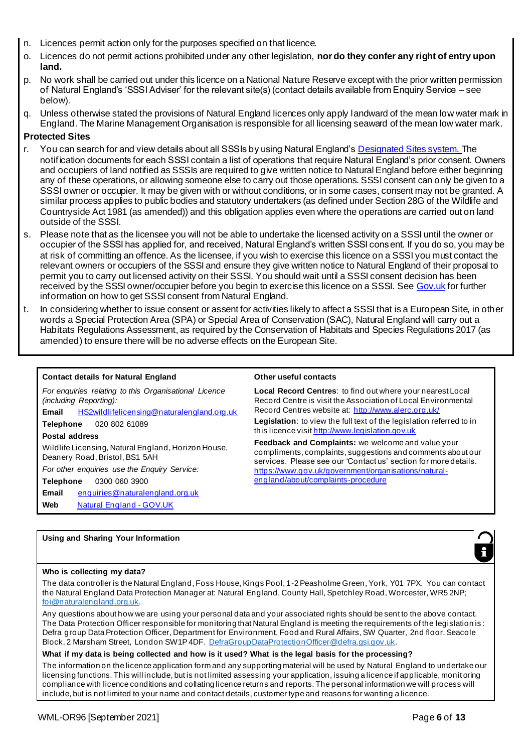- n. Licences permit action only for the purposes specified on that licence.
- o. Licences do not permit actions prohibited under any other legislation, **nor do they confer any right of entry upon land.**
- p. No work shall be carried out under this licence on a National Nature Reserve except with the prior written permission of Natural England's 'SSSI Adviser' for the relevant site(s) (contact details available from Enquiry Service – see below).
- q. Unless otherwise stated the provisions of Natural England licences only apply landward of the mean low water mark in England. The Marine Management Organisation is responsible for all licensing seaward of the mean low water mark.

### **Protected Sites**

- r. You can search for and view details about all SSSIs by using Natural England'[s Designated Sites system](https://designatedsites.naturalengland.org.uk/SiteSearch.aspx). The notification documents for each SSSI contain a list of operations that require Natural England's prior consent. Owners and occupiers of land notified as SSSIs are required to give written notice to Natural England before either beginning any of these operations, or allowing someone else to carry out those operations. SSSI consent can only be given to a SSSI owner or occupier. It may be given with or without conditions, or in some cases, consent may not be granted. A similar process applies to public bodies and statutory undertakers (as defined under Section 28G of the Wildlife and Countryside Act 1981 (as amended)) and this obligation applies even where the operations are carried out on land outside of the SSSI.
- s. Please note that as the licensee you will not be able to undertake the licensed activity on a SSSI until the owner or occupier of the SSSI has applied for, and received, Natural England's written SSSI consent. If you do so, you may be at risk of committing an offence. As the licensee, if you wish to exercise this licence on a SSSI you must contact the relevant owners or occupiers of the SSSI and ensure they give written notice to Natural England of their proposal to permit you to carry out licensed activity on their SSSI. You should wait until a SSSI consent decision has been received by the SSSI owner/occupier before you begin to exercise this licence on a SSSI. Se[e Gov.uk](https://www.gov.uk/guidance/protected-areas-sites-of-special-scientific-interest) for further information on how to get SSSI consent from Natural England.
- t. In considering whether to issue consent or assent for activities likely to affect a SSSI that is a European Site, in other words a Special Protection Area (SPA) or Special Area of Conservation (SAC), Natural England will carry out a Habitats Regulations Assessment, as required by the Conservation of Habitats and Species Regulations 2017 (as amended) to ensure there will be no adverse effects on the European Site.

#### **Contact details for Natural England <b>Contact Contacts** Other useful contacts

*For enquiries relating to this Organisational Licence (including Reporting):* **Email** [HS2wildlifelicensing@naturalengland.org.uk](mailto:HS2wildlifelicensing@naturalengland.org.uk) **Telephone** 020 802 61089 **Postal address** Wildlife Licensing, Natural England, Horizon House, Deanery Road, Bristol, BS1 5AH *For other enquiries use the Enquiry Service:* **Telephone** 0300 060 3900 **Email** [enquiries@naturalengland.org.uk](mailto:enquiries@naturalengland.org.uk) Web [Natural England -](https://www.gov.uk/government/organisations/natural-england#org-contacts) GOV.UK

**Local Record Centres**: to find out where your nearest Local Record Centre is visit the Association of Local Environmental Record Centres website at:<http://www.alerc.org.uk/>

**Legislation**: to view the full text of the legislation referred to in this licence visi[t http://www.legislation.gov.uk](http://www.legislation.gov.uk/)

**Feedback and Complaints:** we welcome and value your compliments, complaints, suggestions and comments about our services. Please see our 'Contact us' section for more details. [https://www.gov.uk/government/organisations/natural](https://www.gov.uk/government/organisations/natural-england/about/complaints-procedure)[england/about/complaints-procedure](https://www.gov.uk/government/organisations/natural-england/about/complaints-procedure)

# **Using and Sharing Your Information**

#### **Who is collecting my data?**

The data controller is the Natural England, Foss House, Kings Pool, 1-2 Peasholme Green, York, Y01 7PX. You can contact the Natural England Data Protection Manager at: Natural England, County Hall, Spetchley Road, Worcester, WR5 2NP; [foi@naturalengland.org.uk](mailto:foi@naturalengland.org.uk).

Any questions about how we are using your personal data and your associated rights should be sent to the above contact. The Data Protection Officer responsible for monitoring that Natural England is meeting the requirements of the legislation is : Defra group Data Protection Officer, Department for Environment, Food and Rural Affairs, SW Quarter, 2nd floor, Seacole Block, 2 Marsham Street, London SW1P 4DF. [DefraGroupDataProtectionOfficer@defra.gsi.gov.uk](mailto:DefraGroupDataProtectionOfficer@defra.gsi.gov.uk).

### **What if my data is being collected and how is it used? What is the legal basis for the processing?**

The information on the licence application form and any supporting material will be used by Natural England to undertake our licensing functions. This will include, but is not limited assessing your application, issuing a licence if applicable, monit oring compliance with licence conditions and collating licence returns and reports. The personal information we will process will include, but is not limited to your name and contact details, customer type and reasons for wanting a licence.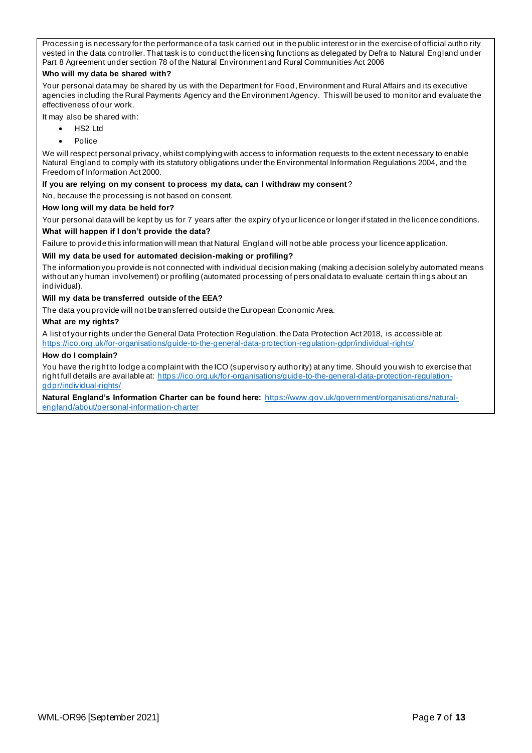Processing is necessary for the performance of a task carried out in the public interest or in the exercise of official autho rity vested in the data controller. That task is to conduct the licensing functions as delegated by Defra to Natural England under Part 8 Agreement under section 78 of the Natural Environment and Rural Communities Act 2006

#### **Who will my data be shared with?**

Your personal data may be shared by us with the Department for Food, Environment and Rural Affairs and its executive agencies including the Rural Payments Agency and the Environment Agency. This will be used to monitor and evaluate the effectiveness of our work.

It may also be shared with:

- HS2 Ltd
- Police

We will respect personal privacy, whilst complying with access to information requests to the extent necessary to enable Natural England to comply with its statutory obligations under the Environmental Information Regulations 2004, and the Freedom of Information Act 2000.

#### **If you are relying on my consent to process my data, can I withdraw my consent**?

No, because the processing is not based on consent.

#### **How long will my data be held for?**

Your personal data will be kept by us for 7 years after the expiry of your licence or longer if stated in the licence conditions. **What will happen if I don't provide the data?**

Failure to provide this information will mean that Natural England will not be able process your licence application.

#### **Will my data be used for automated decision-making or profiling?**

The information you provide is not connected with individual decision making (making a decision solely by automated means without any human involvement) or profiling (automated processing of personal data to evaluate certain things about an individual).

#### **Will my data be transferred outside of the EEA?**

The data you provide will not be transferred outside the European Economic Area.

#### **What are my rights?**

A list of your rights under the General Data Protection Regulation, the Data Protection Act 2018, is accessible at: <https://ico.org.uk/for-organisations/guide-to-the-general-data-protection-regulation-gdpr/individual-rights/>

#### **How do I complain?**

You have the right to lodge a complaint with the ICO (supervisory authority) at any time. Should you wish to exercise that right full details are available at: [https://ico.org.uk/for-organisations/guide-to-the-general-data-protection-regulation](https://ico.org.uk/for-organisations/guide-to-the-general-data-protection-regulation-gdpr/individual-rights/)[gdpr/individual-rights/](https://ico.org.uk/for-organisations/guide-to-the-general-data-protection-regulation-gdpr/individual-rights/)

**Natural England's Information Charter can be found here:** [https://www.gov.uk/government/organisations/natural](https://www.gov.uk/government/organisations/natural-england/about/personal-information-charter)[england/about/personal-information-charter](https://www.gov.uk/government/organisations/natural-england/about/personal-information-charter)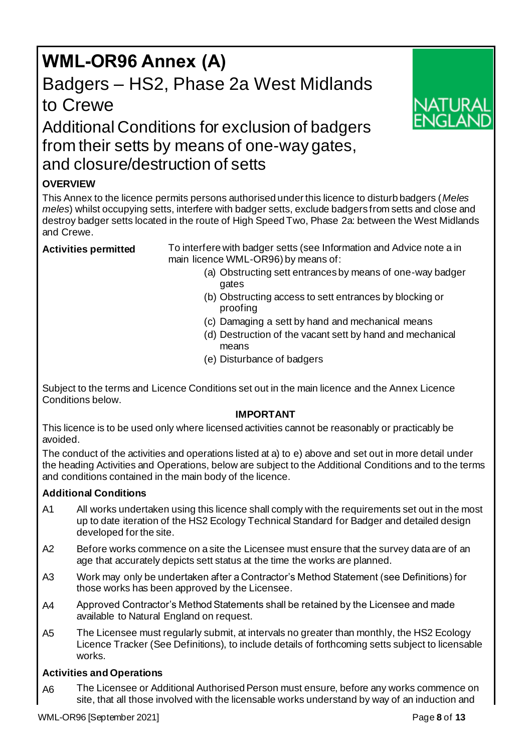# **WML-OR96 Annex (A)** Badgers – HS2, Phase 2a West Midlands to Crewe



# Additional Conditions for exclusion of badgers from their setts by means of one-way gates, and closure/destruction of setts

# **OVERVIEW**

This Annex to the licence permits persons authorised under this licence to disturb badgers (*Meles meles*) whilst occupying setts, interfere with badger setts, exclude badgers from setts and close and destroy badger setts located in the route of High Speed Two, Phase 2a: between the West Midlands and Crewe.

**Activities permitted** To interfere with badger setts (see Information and Advice note a in main licence WML-OR96) by means of:

- (a) Obstructing sett entrances by means of one-way badger gates
- (b) Obstructing access to sett entrances by blocking or proofing
- (c) Damaging a sett by hand and mechanical means
- (d) Destruction of the vacant sett by hand and mechanical means
- (e) Disturbance of badgers

Subject to the terms and Licence Conditions set out in the main licence and the Annex Licence Conditions below.

# **IMPORTANT**

This licence is to be used only where licensed activities cannot be reasonably or practicably be avoided.

The conduct of the activities and operations listed at a) to e) above and set out in more detail under the heading Activities and Operations, below are subject to the Additional Conditions and to the terms and conditions contained in the main body of the licence.

# **Additional Conditions**

- A1 All works undertaken using this licence shall comply with the requirements set out in the most up to date iteration of the HS2 Ecology Technical Standard for Badger and detailed design developed for the site.
- A2 Before works commence on a site the Licensee must ensure that the survey data are of an age that accurately depicts sett status at the time the works are planned.
- A3 Work may only be undertaken after a Contractor's Method Statement (see Definitions) for those works has been approved by the Licensee.
- A4 Approved Contractor's Method Statements shall be retained by the Licensee and made available to Natural England on request.
- A5 The Licensee must regularly submit, at intervals no greater than monthly, the HS2 Ecology Licence Tracker (See Definitions), to include details of forthcoming setts subject to licensable works.

# **Activities and Operations**

A6 The Licensee or Additional Authorised Person must ensure, before any works commence on site, that all those involved with the licensable works understand by way of an induction and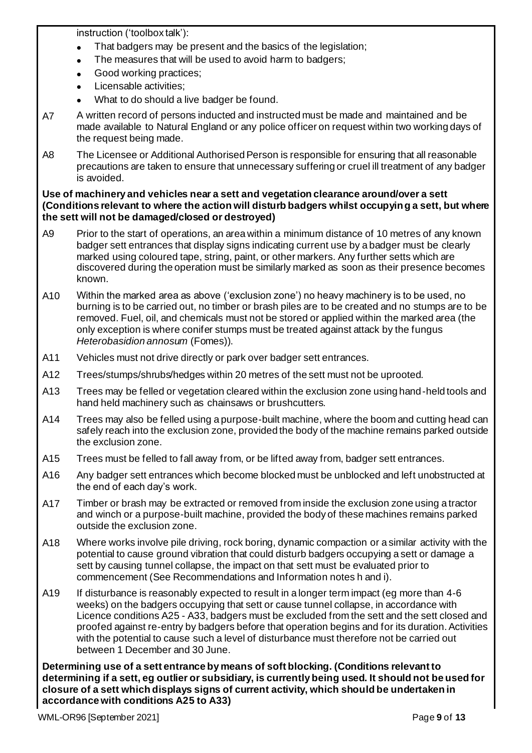instruction ('toolbox talk'):

- That badgers may be present and the basics of the legislation;
- The measures that will be used to avoid harm to badgers;
- Good working practices:
- Licensable activities:
- What to do should a live badger be found.
- A7 A written record of persons inducted and instructed must be made and maintained and be made available to Natural England or any police officer on request within two working days of the request being made.
- A8 The Licensee or Additional Authorised Person is responsible for ensuring that all reasonable precautions are taken to ensure that unnecessary suffering or cruel ill treatment of any badger is avoided.

### **Use of machinery and vehicles near a sett and vegetation clearance around/over a sett (Conditions relevant to where the action will disturb badgers whilst occupying a sett, but where the sett will not be damaged/closed or destroyed)**

- A9 Prior to the start of operations, an area within a minimum distance of 10 metres of any known badger sett entrances that display signs indicating current use by a badger must be clearly marked using coloured tape, string, paint, or other markers. Any further setts which are discovered during the operation must be similarly marked as soon as their presence becomes known.
- A10 Within the marked area as above ('exclusion zone') no heavy machinery is to be used, no burning is to be carried out, no timber or brash piles are to be created and no stumps are to be removed. Fuel, oil, and chemicals must not be stored or applied within the marked area (the only exception is where conifer stumps must be treated against attack by the fungus *Heterobasidion annosum* (Fomes)).
- A11 Vehicles must not drive directly or park over badger sett entrances.
- A12 Trees/stumps/shrubs/hedges within 20 metres of the sett must not be uprooted.
- A13 Trees may be felled or vegetation cleared within the exclusion zone using hand-held tools and hand held machinery such as chainsaws or brushcutters.
- A14 Trees may also be felled using a purpose-built machine, where the boom and cutting head can safely reach into the exclusion zone, provided the body of the machine remains parked outside the exclusion zone.
- A15 Trees must be felled to fall away from, or be lifted away from, badger sett entrances.
- A16 Any badger sett entrances which become blocked must be unblocked and left unobstructed at the end of each day's work.
- A17 Timber or brash may be extracted or removed from inside the exclusion zone using a tractor and winch or a purpose-built machine, provided the body of these machines remains parked outside the exclusion zone.
- A18 Where works involve pile driving, rock boring, dynamic compaction or a similar activity with the potential to cause ground vibration that could disturb badgers occupying a sett or damage a sett by causing tunnel collapse, the impact on that sett must be evaluated prior to commencement (See Recommendations and Information notes h and i).
- A19 If disturbance is reasonably expected to result in a longer term impact (eg more than 4-6 weeks) on the badgers occupying that sett or cause tunnel collapse, in accordance with Licence conditions A25 - A33, badgers must be excluded from the sett and the sett closed and proofed against re-entry by badgers before that operation begins and for its duration. Activities with the potential to cause such a level of disturbance must therefore not be carried out between 1 December and 30 June.

**Determining use of a sett entrance by means of soft blocking. (Conditions relevant to determining if a sett, eg outlier or subsidiary, is currently being used. It should not be used for closure of a sett which displays signs of current activity, which should be undertaken in accordance with conditions A25 to A33)**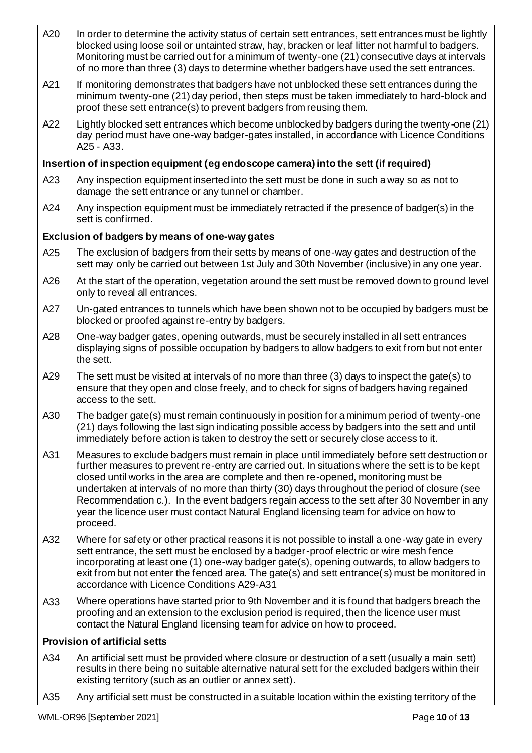- A20 In order to determine the activity status of certain sett entrances, sett entrances must be lightly blocked using loose soil or untainted straw, hay, bracken or leaf litter not harmful to badgers. Monitoring must be carried out for a minimum of twenty-one (21) consecutive days at intervals of no more than three (3) days to determine whether badgers have used the sett entrances.
- A21 If monitoring demonstrates that badgers have not unblocked these sett entrances during the minimum twenty-one (21) day period, then steps must be taken immediately to hard-block and proof these sett entrance(s) to prevent badgers from reusing them.
- A22 Lightly blocked sett entrances which become unblocked by badgers during the twenty-one (21) day period must have one-way badger-gates installed, in accordance with Licence Conditions A25 - A33.

# **Insertion of inspection equipment (eg endoscope camera) into the sett (if required)**

- A23 Any inspection equipment inserted into the sett must be done in such a way so as not to damage the sett entrance or any tunnel or chamber.
- A24 Any inspection equipment must be immediately retracted if the presence of badger(s) in the sett is confirmed.

# **Exclusion of badgers by means of one-way gates**

- A25 The exclusion of badgers from their setts by means of one-way gates and destruction of the sett may only be carried out between 1st July and 30th November (inclusive) in any one year.
- A26 At the start of the operation, vegetation around the sett must be removed down to ground level only to reveal all entrances.
- A27 Un-gated entrances to tunnels which have been shown not to be occupied by badgers must be blocked or proofed against re-entry by badgers.
- A28 One-way badger gates, opening outwards, must be securely installed in all sett entrances displaying signs of possible occupation by badgers to allow badgers to exit from but not enter the sett.
- A29 The sett must be visited at intervals of no more than three (3) days to inspect the gate(s) to ensure that they open and close freely, and to check for signs of badgers having regained access to the sett.
- A30 The badger gate(s) must remain continuously in position for a minimum period of twenty-one (21) days following the last sign indicating possible access by badgers into the sett and until immediately before action is taken to destroy the sett or securely close access to it.
- A31 Measures to exclude badgers must remain in place until immediately before sett destruction or further measures to prevent re-entry are carried out. In situations where the sett is to be kept closed until works in the area are complete and then re-opened, monitoring must be undertaken at intervals of no more than thirty (30) days throughout the period of closure (see Recommendation c.). In the event badgers regain access to the sett after 30 November in any year the licence user must contact Natural England licensing team for advice on how to proceed.
- A32 Where for safety or other practical reasons it is not possible to install a one-way gate in every sett entrance, the sett must be enclosed by a badger-proof electric or wire mesh fence incorporating at least one (1) one-way badger gate(s), opening outwards, to allow badgers to exit from but not enter the fenced area. The gate(s) and sett entrance(s) must be monitored in accordance with Licence Conditions A29-A31
- A33 Where operations have started prior to 9th November and it is found that badgers breach the proofing and an extension to the exclusion period is required, then the licence user must contact the Natural England licensing team for advice on how to proceed.

## **Provision of artificial setts**

- A34 An artificial sett must be provided where closure or destruction of a sett (usually a main sett) results in there being no suitable alternative natural sett for the excluded badgers within their existing territory (such as an outlier or annex sett).
- A35 Any artificial sett must be constructed in a suitable location within the existing territory of the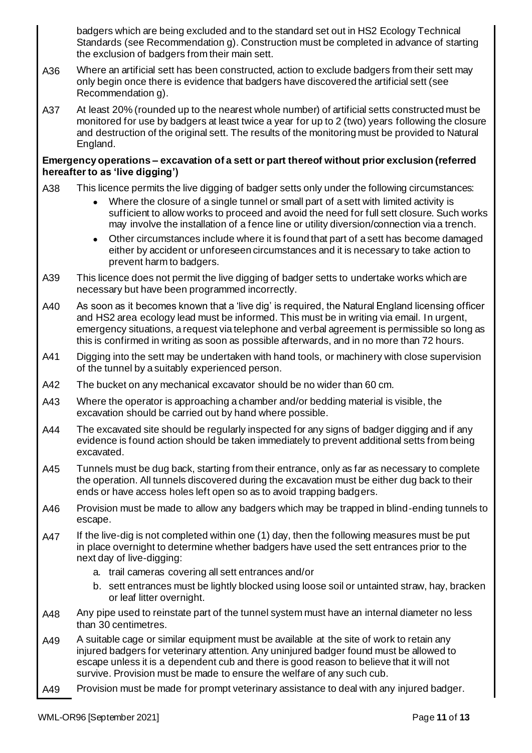badgers which are being excluded and to the standard set out in HS2 Ecology Technical Standards (see Recommendation g). Construction must be completed in advance of starting the exclusion of badgers from their main sett.

- A36 Where an artificial sett has been constructed, action to exclude badgers from their sett may only begin once there is evidence that badgers have discovered the artificial sett (see Recommendation g).
- A37 At least 20% (rounded up to the nearest whole number) of artificial setts constructed must be monitored for use by badgers at least twice a year for up to 2 (two) years following the closure and destruction of the original sett. The results of the monitoring must be provided to Natural England.

## **Emergency operations – excavation of a sett or part thereof without prior exclusion (referred hereafter to as 'live digging')**

- A38 This licence permits the live digging of badger setts only under the following circumstances:
	- Where the closure of a single tunnel or small part of a sett with limited activity is sufficient to allow works to proceed and avoid the need for full sett closure. Such works may involve the installation of a fence line or utility diversion/connection via a trench.
	- Other circumstances include where it is found that part of a sett has become damaged either by accident or unforeseen circumstances and it is necessary to take action to prevent harm to badgers.
- A39 This licence does not permit the live digging of badger setts to undertake works which are necessary but have been programmed incorrectly.
- A40 As soon as it becomes known that a 'live dig' is required, the Natural England licensing officer and HS2 area ecology lead must be informed. This must be in writing via email. In urgent, emergency situations, a request via telephone and verbal agreement is permissible so long as this is confirmed in writing as soon as possible afterwards, and in no more than 72 hours.
- A41 Digging into the sett may be undertaken with hand tools, or machinery with close supervision of the tunnel by a suitably experienced person.
- A42 The bucket on any mechanical excavator should be no wider than 60 cm.
- A43 Where the operator is approaching a chamber and/or bedding material is visible, the excavation should be carried out by hand where possible.
- A44 The excavated site should be regularly inspected for any signs of badger digging and if any evidence is found action should be taken immediately to prevent additional setts from being excavated.
- A45 Tunnels must be dug back, starting from their entrance, only as far as necessary to complete the operation. All tunnels discovered during the excavation must be either dug back to their ends or have access holes left open so as to avoid trapping badgers.
- A46 Provision must be made to allow any badgers which may be trapped in blind-ending tunnels to escape.
- A47 If the live-dig is not completed within one (1) day, then the following measures must be put in place overnight to determine whether badgers have used the sett entrances prior to the next day of live-digging:
	- a. trail cameras covering all sett entrances and/or
	- b. sett entrances must be lightly blocked using loose soil or untainted straw, hay, bracken or leaf litter overnight.
- A48 Any pipe used to reinstate part of the tunnel system must have an internal diameter no less than 30 centimetres.
- A49 A suitable cage or similar equipment must be available at the site of work to retain any injured badgers for veterinary attention. Any uninjured badger found must be allowed to escape unless it is a dependent cub and there is good reason to believe that it will not survive. Provision must be made to ensure the welfare of any such cub.
- A49 Provision must be made for prompt veterinary assistance to deal with any injured badger.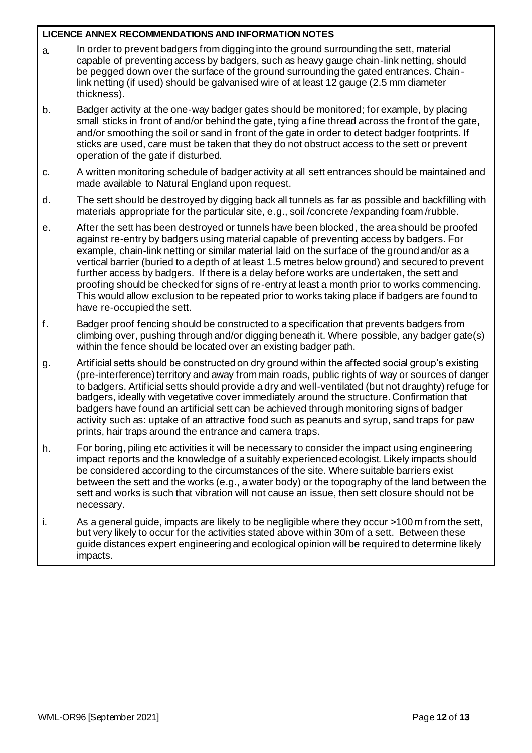## **LICENCE ANNEX RECOMMENDATIONS AND INFORMATION NOTES**

- a. In order to prevent badgers from digging into the ground surrounding the sett, material capable of preventing access by badgers, such as heavy gauge chain-link netting, should be pegged down over the surface of the ground surrounding the gated entrances. Chainlink netting (if used) should be galvanised wire of at least 12 gauge (2.5 mm diameter thickness).
- b. Badger activity at the one-way badger gates should be monitored; for example, by placing small sticks in front of and/or behind the gate, tying a fine thread across the front of the gate, and/or smoothing the soil or sand in front of the gate in order to detect badger footprints. If sticks are used, care must be taken that they do not obstruct access to the sett or prevent operation of the gate if disturbed.
- c. A written monitoring schedule of badger activity at all sett entrances should be maintained and made available to Natural England upon request.
- d. The sett should be destroyed by digging back all tunnels as far as possible and backfilling with materials appropriate for the particular site, e.g., soil /concrete /expanding foam /rubble.
- e. After the sett has been destroyed or tunnels have been blocked, the area should be proofed against re-entry by badgers using material capable of preventing access by badgers. For example, chain-link netting or similar material laid on the surface of the ground and/or as a vertical barrier (buried to a depth of at least 1.5 metres below ground) and secured to prevent further access by badgers. If there is a delay before works are undertaken, the sett and proofing should be checked for signs of re-entry at least a month prior to works commencing. This would allow exclusion to be repeated prior to works taking place if badgers are found to have re-occupied the sett.
- f. Badger proof fencing should be constructed to a specification that prevents badgers from climbing over, pushing through and/or digging beneath it. Where possible, any badger gate(s) within the fence should be located over an existing badger path.
- g. Artificial setts should be constructed on dry ground within the affected social group's existing (pre-interference) territory and away from main roads, public rights of way or sources of danger to badgers. Artificial setts should provide a dry and well-ventilated (but not draughty) refuge for badgers, ideally with vegetative cover immediately around the structure. Confirmation that badgers have found an artificial sett can be achieved through monitoring signs of badger activity such as: uptake of an attractive food such as peanuts and syrup, sand traps for paw prints, hair traps around the entrance and camera traps.
- h. For boring, piling etc activities it will be necessary to consider the impact using engineering impact reports and the knowledge of a suitably experienced ecologist. Likely impacts should be considered according to the circumstances of the site. Where suitable barriers exist between the sett and the works (e.g., a water body) or the topography of the land between the sett and works is such that vibration will not cause an issue, then sett closure should not be necessary.
- i. As a general guide, impacts are likely to be negligible where they occur >100 m from the sett, but very likely to occur for the activities stated above within 30m of a sett. Between these guide distances expert engineering and ecological opinion will be required to determine likely impacts.